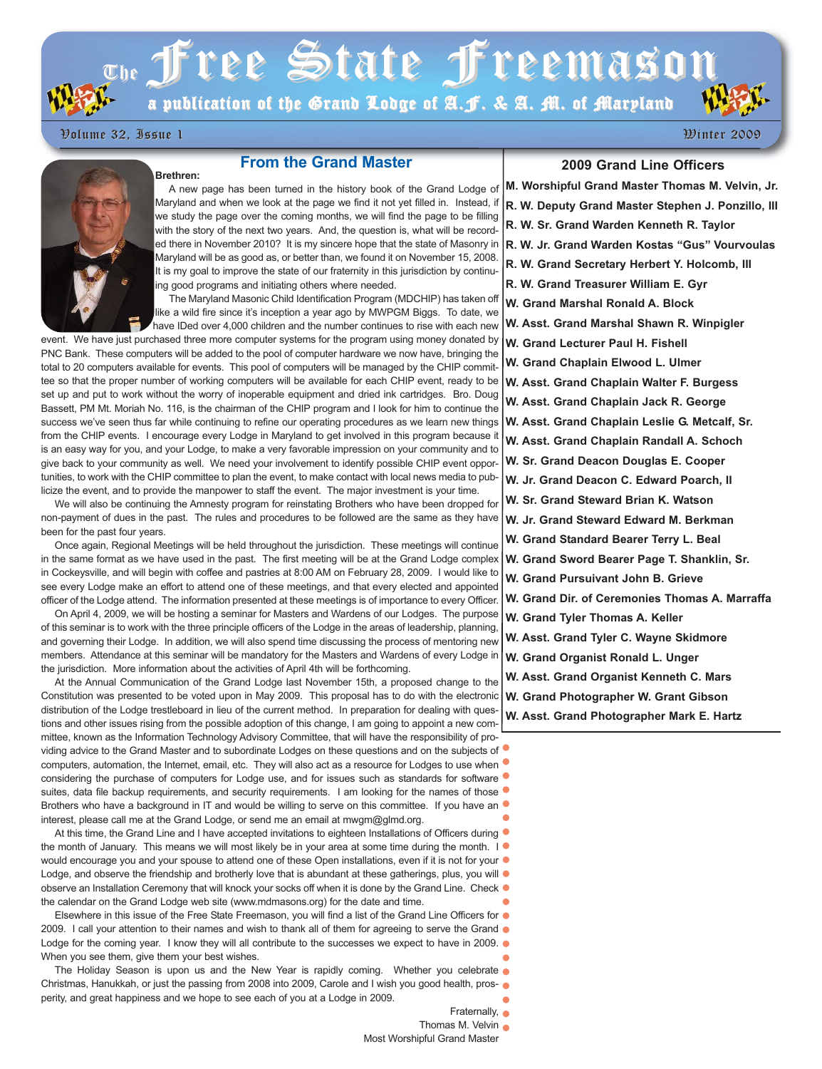# $\sigma_{\rm th}$  Tree State Treemason

a publication of the Grand Lodge of A.J. & A. M. of Maryland

Volume 32, Issue 1 Volume 32, Issue 1 Winter 2009 Winter 2009

**Brethren:**

# **From the Grand Master**



A new page has been turned in the history book of the Grand Lodge of Maryland and when we look at the page we find it not yet filled in. Instead, if we study the page over the coming months, we will find the page to be filling with the story of the next two years. And, the question is, what will be recorded there in November 2010? It is my sincere hope that the state of Masonry in Maryland will be as good as, or better than, we found it on November 15, 2008. It is my goal to improve the state of our fraternity in this jurisdiction by continuing good programs and initiating others where needed.

The Maryland Masonic Child Identification Program (MDCHIP) has taken off like a wild fire since it's inception a year ago by MWPGM Biggs. To date, we have IDed over 4,000 children and the number continues to rise with each new

event. We have just purchased three more computer systems for the program using money donated by PNC Bank. These computers will be added to the pool of computer hardware we now have, bringing the total to 20 computers available for events. This pool of computers will be managed by the CHIP committee so that the proper number of working computers will be available for each CHIP event, ready to be set up and put to work without the worry of inoperable equipment and dried ink cartridges. Bro. Doug Bassett, PM Mt. Moriah No. 116, is the chairman of the CHIP program and I look for him to continue the success we've seen thus far while continuing to refine our operating procedures as we learn new things from the CHIP events. I encourage every Lodge in Maryland to get involved in this program because it is an easy way for you, and your Lodge, to make a very favorable impression on your community and to give back to your community as well. We need your involvement to identify possible CHIP event opportunities, to work with the CHIP committee to plan the event, to make contact with local news media to publicize the event, and to provide the manpower to staff the event. The major investment is your time.

We will also be continuing the Amnesty program for reinstating Brothers who have been dropped for non-payment of dues in the past. The rules and procedures to be followed are the same as they have been for the past four years.

Once again, Regional Meetings will be held throughout the jurisdiction. These meetings will continue in the same format as we have used in the past. The first meeting will be at the Grand Lodge complex in Cockeysville, and will begin with coffee and pastries at 8:00 AM on February 28, 2009. I would like to see every Lodge make an effort to attend one of these meetings, and that every elected and appointed officer of the Lodge attend. The information presented at these meetings is of importance to every Officer.

On April 4, 2009, we will be hosting a seminar for Masters and Wardens of our Lodges. The purpose of this seminar is to work with the three principle officers of the Lodge in the areas of leadership, planning, and governing their Lodge. In addition, we will also spend time discussing the process of mentoring new members. Attendance at this seminar will be mandatory for the Masters and Wardens of every Lodge in the jurisdiction. More information about the activities of April 4th will be forthcoming.

At the Annual Communication of the Grand Lodge last November 15th, a proposed change to the Constitution was presented to be voted upon in May 2009. This proposal has to do with the electronic distribution of the Lodge trestleboard in lieu of the current method. In preparation for dealing with questions and other issues rising from the possible adoption of this change, I am going to appoint a new committee, known as the Information Technology Advisory Committee, that will have the responsibility of providing advice to the Grand Master and to subordinate Lodges on these questions and on the subjects of  $\bullet$ computers, automation, the Internet, email, etc. They will also act as a resource for Lodges to use when considering the purchase of computers for Lodge use, and for issues such as standards for software  $\bullet$ suites, data file backup requirements, and security requirements. I am looking for the names of those  $\bullet$ Brothers who have a background in IT and would be willing to serve on this committee. If you have an interest, please call me at the Grand Lodge, or send me an email at mwgm@glmd.org.

At this time, the Grand Line and I have accepted invitations to eighteen Installations of Officers during  $\bullet$ the month of January. This means we will most likely be in your area at some time during the month. I  $\bullet$ would encourage you and your spouse to attend one of these Open installations, even if it is not for your  $\bullet$ Lodge, and observe the friendship and brotherly love that is abundant at these gatherings, plus, you will  $\bullet$ observe an Installation Ceremony that will knock your socks off when it is done by the Grand Line. Check  $\bullet$ the calendar on the Grand Lodge web site (www.mdmasons.org) for the date and time.

Elsewhere in this issue of the Free State Freemason, you will find a list of the Grand Line Officers for  $\bullet$ 2009. I call your attention to their names and wish to thank all of them for agreeing to serve the Grand  $\bullet$ Lodge for the coming year. I know they will all contribute to the successes we expect to have in 2009.  $\bullet$ When you see them, give them your best wishes.

The Holiday Season is upon us and the New Year is rapidly coming. Whether you celebrate Christmas, Hanukkah, or just the passing from 2008 into 2009, Carole and I wish you good health, prosperity, and great happiness and we hope to see each of you at a Lodge in 2009.

**2009 Grand Line Officers**

**M. Worshipful Grand Master Thomas M. Velvin, Jr. R. W. Deputy Grand Master Stephen J. Ponzillo, III R. W. Sr. Grand Warden Kenneth R. Taylor R. W. Jr. Grand Warden Kostas "Gus" Vourvoulas R. W. Grand Secretary Herbert Y. Holcomb, III R. W. Grand Treasurer William E. Gyr W. Grand Marshal Ronald A. Block W. Asst. Grand Marshal Shawn R. Winpigler W. Grand Lecturer Paul H. Fishell W. Grand Chaplain Elwood L. Ulmer W. Asst. Grand Chaplain Walter F. Burgess W. Asst. Grand Chaplain Jack R. George W. Asst. Grand Chaplain Leslie G. Metcalf, Sr. W. Asst. Grand Chaplain Randall A. Schoch W. Sr. Grand Deacon Douglas E. Cooper W. Jr. Grand Deacon C. Edward Poarch, II W. Sr. Grand Steward Brian K. Watson W. Jr. Grand Steward Edward M. Berkman W. Grand Standard Bearer Terry L. Beal W. Grand Sword Bearer Page T. Shanklin, Sr. W. Grand Pursuivant John B. Grieve W. Grand Dir. of Ceremonies Thomas A. Marraffa W. Grand Tyler Thomas A. Keller W. Asst. Grand Tyler C. Wayne Skidmore W. Grand Organist Ronald L. Unger**

**W. Asst. Grand Organist Kenneth C. Mars**

**W. Grand Photographer W. Grant Gibson**

**W. Asst. Grand Photographer Mark E. Hartz**

Fraternally,  $\bullet$ 

Thomas M. Velvin Most Worshipful Grand Master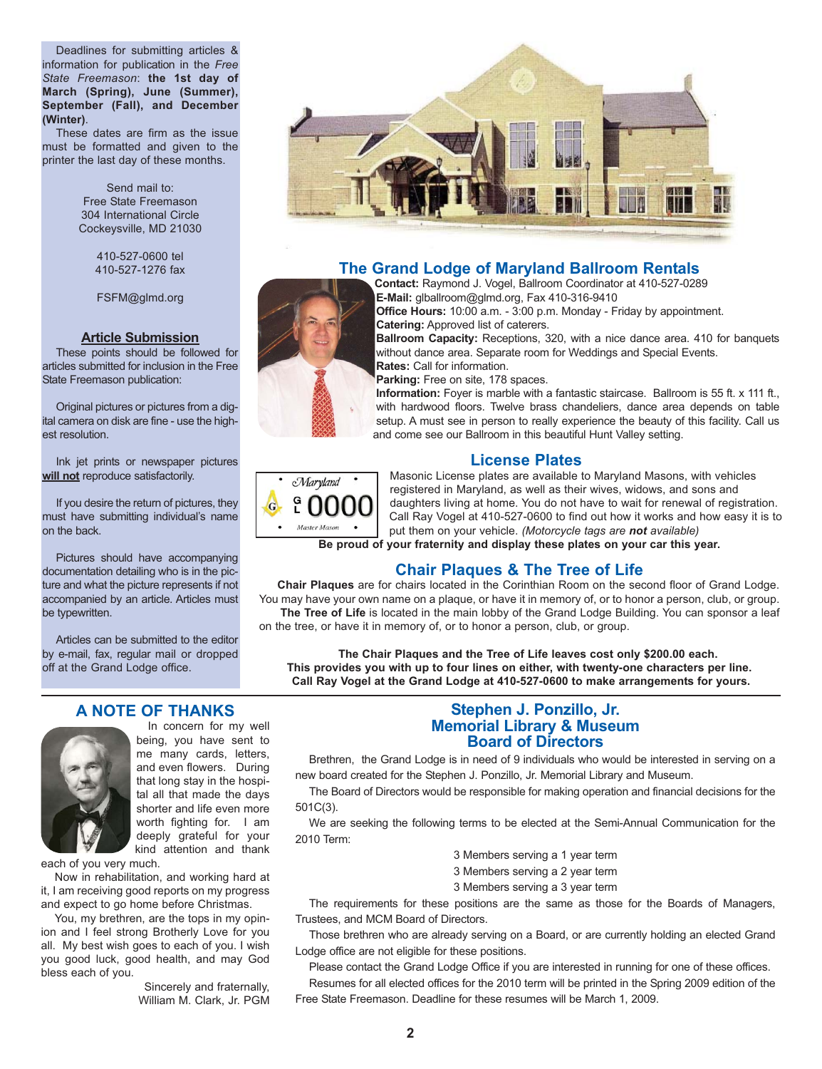Deadlines for submitting articles & information for publication in the *Free State Freemason*: **the 1st day of March (Spring), June (Summer), September (Fall), and December (Winter)**.

These dates are firm as the issue must be formatted and given to the printer the last day of these months.

> Send mail to: Free State Freemason 304 International Circle Cockeysville, MD 21030

> > 410-527-0600 tel 410-527-1276 fax

FSFM@glmd.org

#### **Article Submission**

These points should be followed for articles submitted for inclusion in the Free State Freemason publication:

Original pictures or pictures from a digital camera on disk are fine - use the highest resolution.

Ink jet prints or newspaper pictures **will not** reproduce satisfactorily.

If you desire the return of pictures, they must have submitting individual's name on the back.

Pictures should have accompanying documentation detailing who is in the picture and what the picture represents if not accompanied by an article. Articles must be typewritten.

Articles can be submitted to the editor by e-mail, fax, regular mail or dropped off at the Grand Lodge office.

#### **A NOTE OF THANKS**



In concern for my well being, you have sent to me many cards, letters, and even flowers. During that long stay in the hospital all that made the days shorter and life even more worth fighting for. I am deeply grateful for your kind attention and thank

each of you very much.

Now in rehabilitation, and working hard at it, I am receiving good reports on my progress and expect to go home before Christmas.

You, my brethren, are the tops in my opinion and I feel strong Brotherly Love for you all. My best wish goes to each of you. I wish you good luck, good health, and may God bless each of you.

> Sincerely and fraternally, William M. Clark, Jr. PGM



# **The Grand Lodge of Maryland Ballroom Rentals**

**Contact:** Raymond J. Vogel, Ballroom Coordinator at 410-527-0289 **E-Mail:** glballroom@glmd.org, Fax 410-316-9410



**Office Hours:** 10:00 a.m. - 3:00 p.m. Monday - Friday by appointment. **Catering:** Approved list of caterers.

**Ballroom Capacity:** Receptions, 320, with a nice dance area. 410 for banquets without dance area. Separate room for Weddings and Special Events. **Rates:** Call for information.

**Parking:** Free on site, 178 spaces.

**Information:** Foyer is marble with a fantastic staircase. Ballroom is 55 ft. x 111 ft., with hardwood floors. Twelve brass chandeliers, dance area depends on table setup. A must see in person to really experience the beauty of this facility. Call us and come see our Ballroom in this beautiful Hunt Valley setting.

## **License Plates**



Masonic License plates are available to Maryland Masons, with vehicles registered in Maryland, as well as their wives, widows, and sons and daughters living at home. You do not have to wait for renewal of registration. Call Ray Vogel at 410-527-0600 to find out how it works and how easy it is to put them on your vehicle. *(Motorcycle tags are not available)*

**Be proud of your fraternity and display these plates on your car this year.**

# **Chair Plaques & The Tree of Life**

**Chair Plaques** are for chairs located in the Corinthian Room on the second floor of Grand Lodge. You may have your own name on a plaque, or have it in memory of, or to honor a person, club, or group. The Tree of Life is located in the main lobby of the Grand Lodge Building. You can sponsor a leaf

on the tree, or have it in memory of, or to honor a person, club, or group.

**The Chair Plaques and the Tree of Life leaves cost only \$200.00 each. This provides you with up to four lines on either, with twenty-one characters per line. Call Ray Vogel at the Grand Lodge at 410-527-0600 to make arrangements for yours.**

## **Stephen J. Ponzillo, Jr. Memorial Library & Museum Board of Directors**

Brethren, the Grand Lodge is in need of 9 individuals who would be interested in serving on a new board created for the Stephen J. Ponzillo, Jr. Memorial Library and Museum.

The Board of Directors would be responsible for making operation and financial decisions for the 501C(3).

We are seeking the following terms to be elected at the Semi-Annual Communication for the 2010 Term:

- 3 Members serving a 1 year term
- 3 Members serving a 2 year term
- 3 Members serving a 3 year term

The requirements for these positions are the same as those for the Boards of Managers, Trustees, and MCM Board of Directors.

Those brethren who are already serving on a Board, or are currently holding an elected Grand Lodge office are not eligible for these positions.

Please contact the Grand Lodge Office if you are interested in running for one of these offices.

Resumes for all elected offices for the 2010 term will be printed in the Spring 2009 edition of the Free State Freemason. Deadline for these resumes will be March 1, 2009.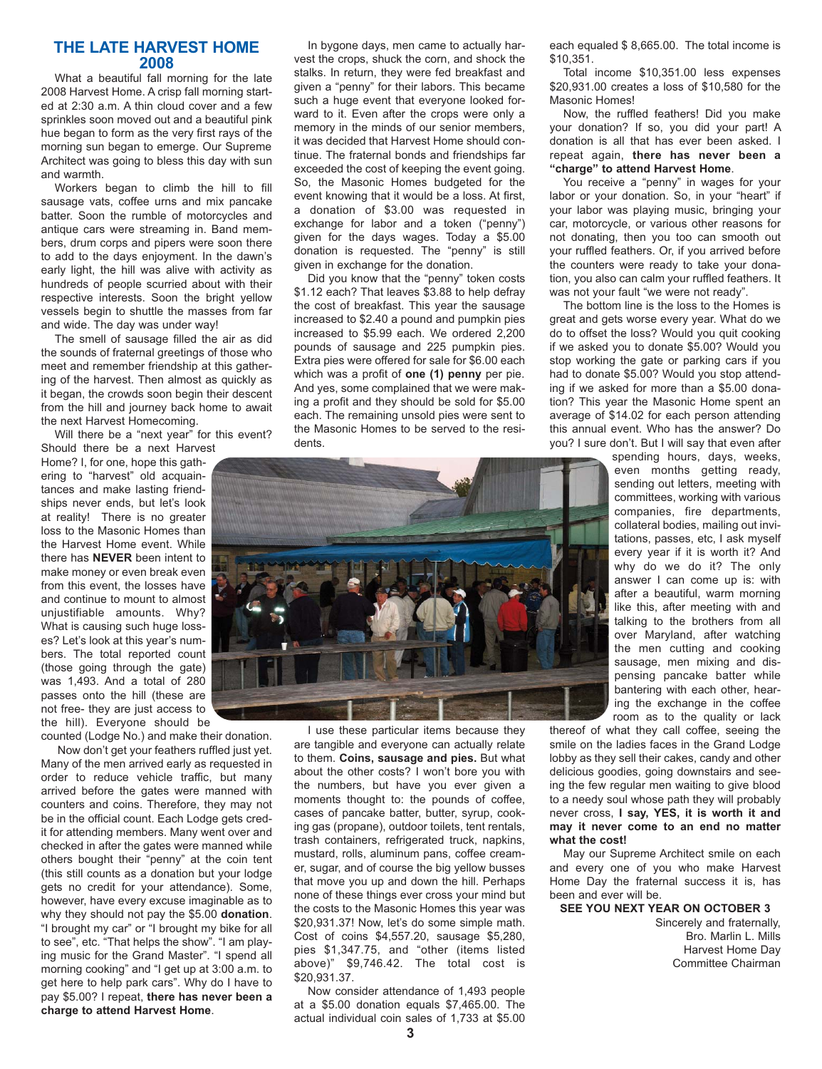### **THE LATE HARVEST HOME 2008**

What a beautiful fall morning for the late 2008 Harvest Home. A crisp fall morning started at 2:30 a.m. A thin cloud cover and a few sprinkles soon moved out and a beautiful pink hue began to form as the very first rays of the morning sun began to emerge. Our Supreme Architect was going to bless this day with sun and warmth.

Workers began to climb the hill to fill sausage vats, coffee urns and mix pancake batter. Soon the rumble of motorcycles and antique cars were streaming in. Band members, drum corps and pipers were soon there to add to the days enjoyment. In the dawn's early light, the hill was alive with activity as hundreds of people scurried about with their respective interests. Soon the bright yellow vessels begin to shuttle the masses from far and wide. The day was under way!

The smell of sausage filled the air as did the sounds of fraternal greetings of those who meet and remember friendship at this gathering of the harvest. Then almost as quickly as it began, the crowds soon begin their descent from the hill and journey back home to await the next Harvest Homecoming.

Will there be a "next year" for this event? Should there be a next Harvest

Home? I, for one, hope this gathering to "harvest" old acquaintances and make lasting friendships never ends, but let's look at reality! There is no greater loss to the Masonic Homes than the Harvest Home event. While there has **NEVER** been intent to make money or even break even from this event, the losses have and continue to mount to almost unjustifiable amounts. Why? What is causing such huge losses? Let's look at this year's numbers. The total reported count (those going through the gate) was 1,493. And a total of 280 passes onto the hill (these are not free- they are just access to the hill). Everyone should be

counted (Lodge No.) and make their donation.

Now don't get your feathers ruffled just yet. Many of the men arrived early as requested in order to reduce vehicle traffic, but many arrived before the gates were manned with counters and coins. Therefore, they may not be in the official count. Each Lodge gets credit for attending members. Many went over and checked in after the gates were manned while others bought their "penny" at the coin tent (this still counts as a donation but your lodge gets no credit for your attendance). Some, however, have every excuse imaginable as to why they should not pay the \$5.00 **donation**. "I brought my car" or "I brought my bike for all to see", etc. "That helps the show". "I am playing music for the Grand Master". "I spend all morning cooking" and "I get up at 3:00 a.m. to get here to help park cars". Why do I have to pay \$5.00? I repeat, **there has never been a charge to attend Harvest Home**.

In bygone days, men came to actually harvest the crops, shuck the corn, and shock the stalks. In return, they were fed breakfast and given a "penny" for their labors. This became such a huge event that everyone looked forward to it. Even after the crops were only a memory in the minds of our senior members, it was decided that Harvest Home should continue. The fraternal bonds and friendships far exceeded the cost of keeping the event going. So, the Masonic Homes budgeted for the event knowing that it would be a loss. At first, a donation of \$3.00 was requested in exchange for labor and a token ("penny") given for the days wages. Today a \$5.00 donation is requested. The "penny" is still given in exchange for the donation.

Did you know that the "penny" token costs \$1.12 each? That leaves \$3.88 to help defray the cost of breakfast. This year the sausage increased to \$2.40 a pound and pumpkin pies increased to \$5.99 each. We ordered 2,200 pounds of sausage and 225 pumpkin pies. Extra pies were offered for sale for \$6.00 each which was a profit of **one (1) penny** per pie. And yes, some complained that we were making a profit and they should be sold for \$5.00 each. The remaining unsold pies were sent to the Masonic Homes to be served to the residents.



I use these particular items because they are tangible and everyone can actually relate to them. **Coins, sausage and pies.** But what about the other costs? I won't bore you with the numbers, but have you ever given a moments thought to: the pounds of coffee, cases of pancake batter, butter, syrup, cooking gas (propane), outdoor toilets, tent rentals, trash containers, refrigerated truck, napkins, mustard, rolls, aluminum pans, coffee creamer, sugar, and of course the big yellow busses that move you up and down the hill. Perhaps none of these things ever cross your mind but the costs to the Masonic Homes this year was \$20,931.37! Now, let's do some simple math. Cost of coins \$4,557.20, sausage \$5,280, pies \$1,347.75, and "other (items listed above)" \$9,746.42. The total cost is \$20,931.37.

Now consider attendance of 1,493 people at a \$5.00 donation equals \$7,465.00. The actual individual coin sales of 1,733 at \$5.00 each equaled \$ 8,665.00. The total income is \$10,351.

Total income \$10,351.00 less expenses \$20,931.00 creates a loss of \$10,580 for the Masonic Homes!

Now, the ruffled feathers! Did you make your donation? If so, you did your part! A donation is all that has ever been asked. I repeat again, **there has never been a "charge" to attend Harvest Home**.

You receive a "penny" in wages for your labor or your donation. So, in your "heart" if your labor was playing music, bringing your car, motorcycle, or various other reasons for not donating, then you too can smooth out your ruffled feathers. Or, if you arrived before the counters were ready to take your donation, you also can calm your ruffled feathers. It was not your fault "we were not ready".

The bottom line is the loss to the Homes is great and gets worse every year. What do we do to offset the loss? Would you quit cooking if we asked you to donate \$5.00? Would you stop working the gate or parking cars if you had to donate \$5.00? Would you stop attending if we asked for more than a \$5.00 donation? This year the Masonic Home spent an average of \$14.02 for each person attending this annual event. Who has the answer? Do you? I sure don't. But I will say that even after

spending hours, days, weeks, even months getting ready, sending out letters, meeting with committees, working with various companies, fire departments, collateral bodies, mailing out invitations, passes, etc, I ask myself every year if it is worth it? And why do we do it? The only answer I can come up is: with after a beautiful, warm morning like this, after meeting with and talking to the brothers from all over Maryland, after watching the men cutting and cooking sausage, men mixing and dispensing pancake batter while bantering with each other, hearing the exchange in the coffee room as to the quality or lack

thereof of what they call coffee, seeing the smile on the ladies faces in the Grand Lodge lobby as they sell their cakes, candy and other delicious goodies, going downstairs and seeing the few regular men waiting to give blood to a needy soul whose path they will probably never cross, **I say, YES, it is worth it and may it never come to an end no matter what the cost!**

May our Supreme Architect smile on each and every one of you who make Harvest Home Day the fraternal success it is, has been and ever will be.

#### **SEE YOU NEXT YEAR ON OCTOBER 3**

Sincerely and fraternally, Bro. Marlin L. Mills Harvest Home Day Committee Chairman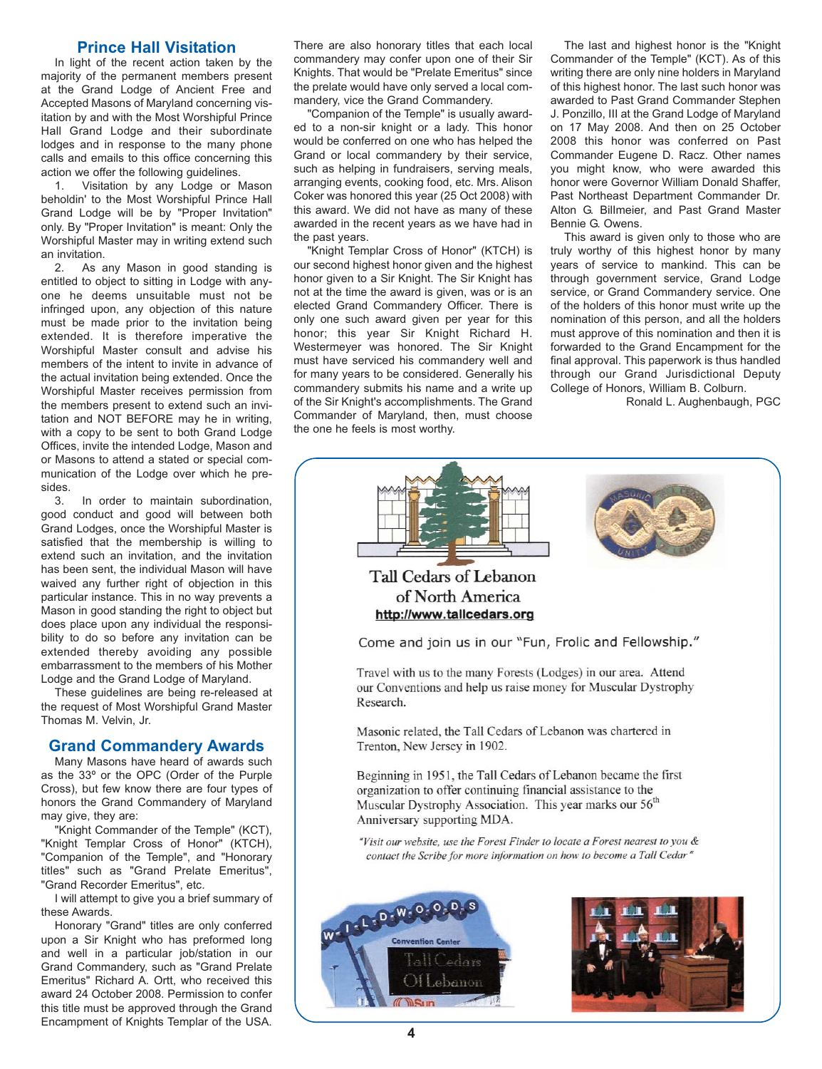## **Prince Hall Visitation**

In light of the recent action taken by the majority of the permanent members present at the Grand Lodge of Ancient Free and Accepted Masons of Maryland concerning visitation by and with the Most Worshipful Prince Hall Grand Lodge and their subordinate lodges and in response to the many phone calls and emails to this office concerning this action we offer the following guidelines.

1. Visitation by any Lodge or Mason beholdin' to the Most Worshipful Prince Hall Grand Lodge will be by "Proper Invitation" only. By "Proper Invitation" is meant: Only the Worshipful Master may in writing extend such an invitation.

2. As any Mason in good standing is entitled to object to sitting in Lodge with anyone he deems unsuitable must not be infringed upon, any objection of this nature must be made prior to the invitation being extended. It is therefore imperative the Worshipful Master consult and advise his members of the intent to invite in advance of the actual invitation being extended. Once the Worshipful Master receives permission from the members present to extend such an invitation and NOT BEFORE may he in writing, with a copy to be sent to both Grand Lodge Offices, invite the intended Lodge, Mason and or Masons to attend a stated or special communication of the Lodge over which he presides.

3. In order to maintain subordination, good conduct and good will between both Grand Lodges, once the Worshipful Master is satisfied that the membership is willing to extend such an invitation, and the invitation has been sent, the individual Mason will have waived any further right of objection in this particular instance. This in no way prevents a Mason in good standing the right to object but does place upon any individual the responsibility to do so before any invitation can be extended thereby avoiding any possible embarrassment to the members of his Mother Lodge and the Grand Lodge of Maryland.

These guidelines are being re-released at the request of Most Worshipful Grand Master Thomas M. Velvin, Jr.

#### **Grand Commandery Awards**

Many Masons have heard of awards such as the 33º or the OPC (Order of the Purple Cross), but few know there are four types of honors the Grand Commandery of Maryland may give, they are:

"Knight Commander of the Temple" (KCT), "Knight Templar Cross of Honor" (KTCH), "Companion of the Temple", and "Honorary titles" such as "Grand Prelate Emeritus", "Grand Recorder Emeritus", etc.

I will attempt to give you a brief summary of these Awards.

Honorary "Grand" titles are only conferred upon a Sir Knight who has preformed long and well in a particular job/station in our Grand Commandery, such as "Grand Prelate Emeritus" Richard A. Ortt, who received this award 24 October 2008. Permission to confer this title must be approved through the Grand Encampment of Knights Templar of the USA.

There are also honorary titles that each local commandery may confer upon one of their Sir Knights. That would be "Prelate Emeritus" since the prelate would have only served a local commandery, vice the Grand Commandery.

"Companion of the Temple" is usually awarded to a non-sir knight or a lady. This honor would be conferred on one who has helped the Grand or local commandery by their service, such as helping in fundraisers, serving meals, arranging events, cooking food, etc. Mrs. Alison Coker was honored this year (25 Oct 2008) with this award. We did not have as many of these awarded in the recent years as we have had in the past years.

"Knight Templar Cross of Honor" (KTCH) is our second highest honor given and the highest honor given to a Sir Knight. The Sir Knight has not at the time the award is given, was or is an elected Grand Commandery Officer. There is only one such award given per year for this honor; this year Sir Knight Richard H. Westermeyer was honored. The Sir Knight must have serviced his commandery well and for many years to be considered. Generally his commandery submits his name and a write up of the Sir Knight's accomplishments. The Grand Commander of Maryland, then, must choose the one he feels is most worthy.

The last and highest honor is the "Knight Commander of the Temple" (KCT). As of this writing there are only nine holders in Maryland of this highest honor. The last such honor was awarded to Past Grand Commander Stephen J. Ponzillo, III at the Grand Lodge of Maryland on 17 May 2008. And then on 25 October 2008 this honor was conferred on Past Commander Eugene D. Racz. Other names you might know, who were awarded this honor were Governor William Donald Shaffer, Past Northeast Department Commander Dr. Alton G. BilImeier, and Past Grand Master Bennie G. Owens.

This award is given only to those who are truly worthy of this highest honor by many years of service to mankind. This can be through government service, Grand Lodge service, or Grand Commandery service. One of the holders of this honor must write up the nomination of this person, and all the holders must approve of this nomination and then it is forwarded to the Grand Encampment for the final approval. This paperwork is thus handled through our Grand Jurisdictional Deputy College of Honors, William B. Colburn.

Ronald L. Aughenbaugh, PGC

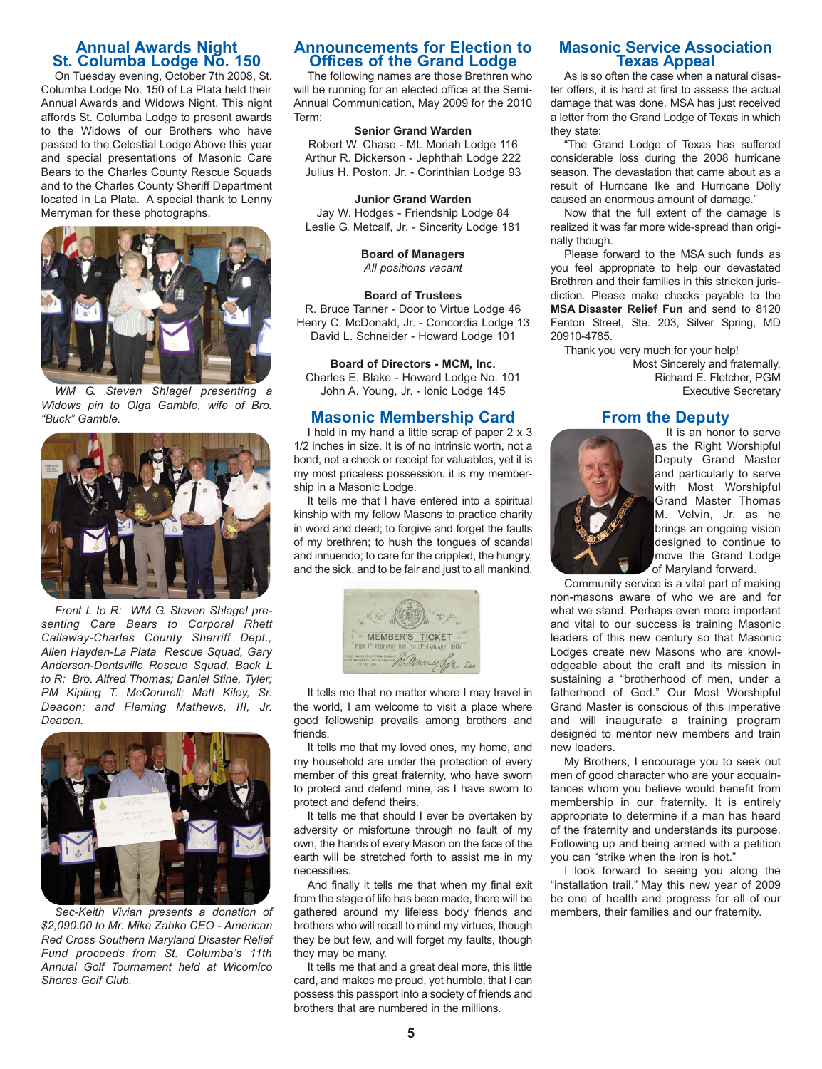# **Annual Awards Night St. Columba Lodge No. 150**

On Tuesday evening, October 7th 2008, St. Columba Lodge No. 150 of La Plata held their Annual Awards and Widows Night. This night affords St. Columba Lodge to present awards to the Widows of our Brothers who have passed to the Celestial Lodge Above this year and special presentations of Masonic Care Bears to the Charles County Rescue Squads and to the Charles County Sheriff Department located in La Plata. A special thank to Lenny Merryman for these photographs.



*WM G. Steven Shlagel presenting a Widows pin to Olga Gamble, wife of Bro. "Buck" Gamble.*



*Front L to R: WM G. Steven Shlagel presenting Care Bears to Corporal Rhett Callaway-Charles County Sherriff Dept., Allen Hayden-La Plata Rescue Squad, Gary Anderson-Dentsville Rescue Squad. Back L to R: Bro. Alfred Thomas; Daniel Stine, Tyler; PM Kipling T. McConnell; Matt Kiley, Sr. Deacon; and Fleming Mathews, III, Jr. Deacon.*



*Sec-Keith Vivian presents a donation of \$2,090.00 to Mr. Mike Zabko CEO - American Red Cross Southern Maryland Disaster Relief Fund proceeds from St. Columba's 11th Annual Golf Tournament held at Wicomico Shores Golf Club.*

#### **Announcements for Election to Offices of the Grand Lodge**

The following names are those Brethren who will be running for an elected office at the Semi-Annual Communication, May 2009 for the 2010 Term:

#### **Senior Grand Warden**

Robert W. Chase - Mt. Moriah Lodge 116 Arthur R. Dickerson - Jephthah Lodge 222 Julius H. Poston, Jr. - Corinthian Lodge 93

#### **Junior Grand Warden**

Jay W. Hodges - Friendship Lodge 84 Leslie G. Metcalf, Jr. - Sincerity Lodge 181

> **Board of Managers** *All positions vacant*

#### **Board of Trustees**

R. Bruce Tanner - Door to Virtue Lodge 46 Henry C. McDonald, Jr. - Concordia Lodge 13 David L. Schneider - Howard Lodge 101

**Board of Directors - MCM, Inc.** Charles E. Blake - Howard Lodge No. 101

# John A. Young, Jr. - Ionic Lodge 145

**Masonic Membership Card** I hold in my hand a little scrap of paper 2 x 3 1/2 inches in size. It is of no intrinsic worth, not a bond, not a check or receipt for valuables, yet it is my most priceless possession. it is my membership in a Masonic Lodge.

It tells me that I have entered into a spiritual kinship with my fellow Masons to practice charity in word and deed; to forgive and forget the faults of my brethren; to hush the tongues of scandal and innuendo; to care for the crippled, the hungry, and the sick, and to be fair and just to all mankind.



It tells me that no matter where I may travel in the world, I am welcome to visit a place where good fellowship prevails among brothers and friends.

It tells me that my loved ones, my home, and my household are under the protection of every member of this great fraternity, who have sworn to protect and defend mine, as I have sworn to protect and defend theirs.

It tells me that should I ever be overtaken by adversity or misfortune through no fault of my own, the hands of every Mason on the face of the earth will be stretched forth to assist me in my necessities.

And finally it tells me that when my final exit from the stage of life has been made, there will be gathered around my lifeless body friends and brothers who will recall to mind my virtues, though they be but few, and will forget my faults, though they may be many.

It tells me that and a great deal more, this little card, and makes me proud, yet humble, that I can possess this passport into a society of friends and brothers that are numbered in the millions.

#### **Masonic Service Association Texas Appeal**

As is so often the case when a natural disaster offers, it is hard at first to assess the actual damage that was done. MSA has just received a letter from the Grand Lodge of Texas in which they state:

"The Grand Lodge of Texas has suffered considerable loss during the 2008 hurricane season. The devastation that came about as a result of Hurricane Ike and Hurricane Dolly caused an enormous amount of damage."

Now that the full extent of the damage is realized it was far more wide-spread than originally though.

Please forward to the MSA such funds as you feel appropriate to help our devastated Brethren and their families in this stricken jurisdiction. Please make checks payable to the **MSA Disaster Relief Fun** and send to 8120 Fenton Street, Ste. 203, Silver Spring, MD 20910-4785.

Thank you very much for your help! Most Sincerely and fraternally, Richard E. Fletcher, PGM Executive Secretary

#### **From the Deputy**



It is an honor to serve as the Right Worshipful Deputy Grand Master and particularly to serve with Most Worshipful Grand Master Thomas M. Velvin, Jr. as he brings an ongoing vision designed to continue to move the Grand Lodge of Maryland forward.

Community service is a vital part of making non-masons aware of who we are and for what we stand. Perhaps even more important and vital to our success is training Masonic leaders of this new century so that Masonic Lodges create new Masons who are knowledgeable about the craft and its mission in sustaining a "brotherhood of men, under a fatherhood of God." Our Most Worshipful Grand Master is conscious of this imperative and will inaugurate a training program designed to mentor new members and train new leaders.

My Brothers, I encourage you to seek out men of good character who are your acquaintances whom you believe would benefit from membership in our fraternity. It is entirely appropriate to determine if a man has heard of the fraternity and understands its purpose. Following up and being armed with a petition you can "strike when the iron is hot."

I look forward to seeing you along the "installation trail." May this new year of 2009 be one of health and progress for all of our members, their families and our fraternity.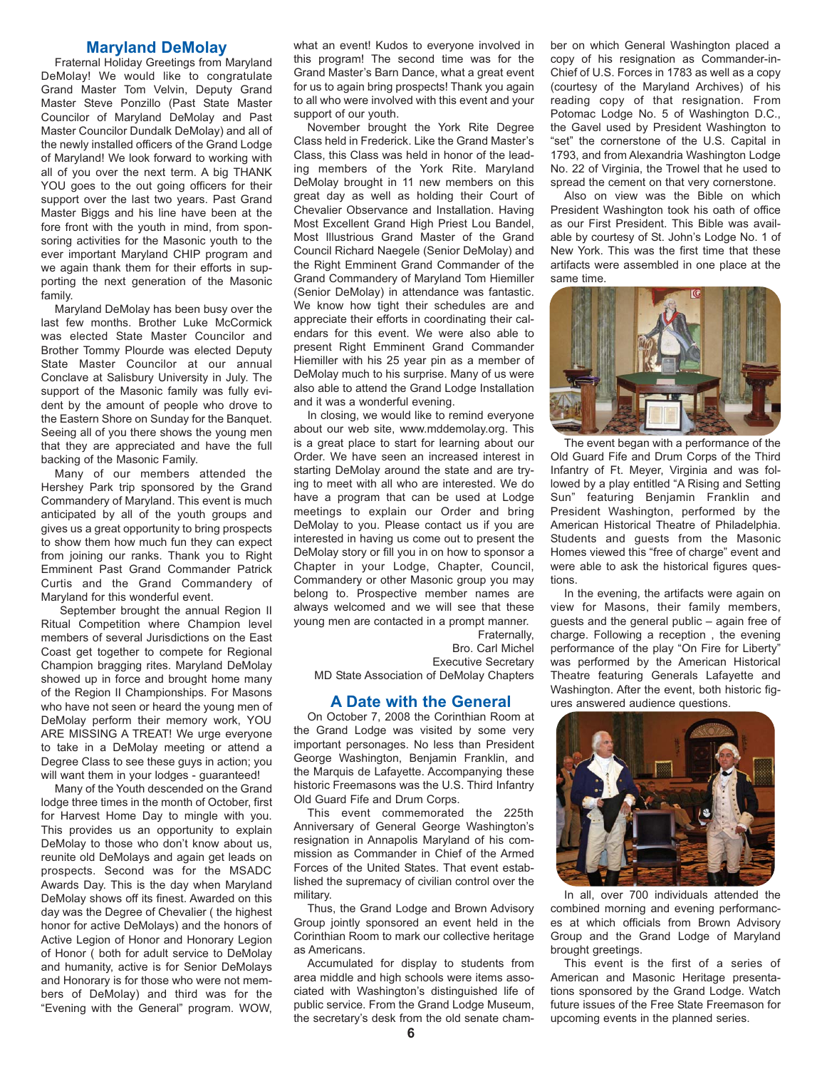### **Maryland DeMolay**

Fraternal Holiday Greetings from Maryland DeMolay! We would like to congratulate Grand Master Tom Velvin, Deputy Grand Master Steve Ponzillo (Past State Master Councilor of Maryland DeMolay and Past Master Councilor Dundalk DeMolay) and all of the newly installed officers of the Grand Lodge of Maryland! We look forward to working with all of you over the next term. A big THANK YOU goes to the out going officers for their support over the last two years. Past Grand Master Biggs and his line have been at the fore front with the youth in mind, from sponsoring activities for the Masonic youth to the ever important Maryland CHIP program and we again thank them for their efforts in supporting the next generation of the Masonic family.

Maryland DeMolay has been busy over the last few months. Brother Luke McCormick was elected State Master Councilor and Brother Tommy Plourde was elected Deputy State Master Councilor at our annual Conclave at Salisbury University in July. The support of the Masonic family was fully evident by the amount of people who drove to the Eastern Shore on Sunday for the Banquet. Seeing all of you there shows the young men that they are appreciated and have the full backing of the Masonic Family.

Many of our members attended the Hershey Park trip sponsored by the Grand Commandery of Maryland. This event is much anticipated by all of the youth groups and gives us a great opportunity to bring prospects to show them how much fun they can expect from joining our ranks. Thank you to Right Emminent Past Grand Commander Patrick Curtis and the Grand Commandery of Maryland for this wonderful event.

September brought the annual Region II Ritual Competition where Champion level members of several Jurisdictions on the East Coast get together to compete for Regional Champion bragging rites. Maryland DeMolay showed up in force and brought home many of the Region II Championships. For Masons who have not seen or heard the young men of DeMolay perform their memory work, YOU ARE MISSING A TREAT! We urge everyone to take in a DeMolay meeting or attend a Degree Class to see these guys in action; you will want them in your lodges - guaranteed!

Many of the Youth descended on the Grand lodge three times in the month of October, first for Harvest Home Day to mingle with you. This provides us an opportunity to explain DeMolay to those who don't know about us, reunite old DeMolays and again get leads on prospects. Second was for the MSADC Awards Day. This is the day when Maryland DeMolay shows off its finest. Awarded on this day was the Degree of Chevalier ( the highest honor for active DeMolays) and the honors of Active Legion of Honor and Honorary Legion of Honor ( both for adult service to DeMolay and humanity, active is for Senior DeMolays and Honorary is for those who were not members of DeMolay) and third was for the "Evening with the General" program. WOW, what an event! Kudos to everyone involved in this program! The second time was for the Grand Master's Barn Dance, what a great event for us to again bring prospects! Thank you again to all who were involved with this event and your support of our youth.

November brought the York Rite Degree Class held in Frederick. Like the Grand Master's Class, this Class was held in honor of the leading members of the York Rite. Maryland DeMolay brought in 11 new members on this great day as well as holding their Court of Chevalier Observance and Installation. Having Most Excellent Grand High Priest Lou Bandel, Most Illustrious Grand Master of the Grand Council Richard Naegele (Senior DeMolay) and the Right Emminent Grand Commander of the Grand Commandery of Maryland Tom Hiemiller (Senior DeMolay) in attendance was fantastic. We know how tight their schedules are and appreciate their efforts in coordinating their calendars for this event. We were also able to present Right Emminent Grand Commander Hiemiller with his 25 year pin as a member of DeMolay much to his surprise. Many of us were also able to attend the Grand Lodge Installation and it was a wonderful evening.

In closing, we would like to remind everyone about our web site, www.mddemolay.org. This is a great place to start for learning about our Order. We have seen an increased interest in starting DeMolay around the state and are trying to meet with all who are interested. We do have a program that can be used at Lodge meetings to explain our Order and bring DeMolay to you. Please contact us if you are interested in having us come out to present the DeMolay story or fill you in on how to sponsor a Chapter in your Lodge, Chapter, Council, Commandery or other Masonic group you may belong to. Prospective member names are always welcomed and we will see that these young men are contacted in a prompt manner. Fraternally,

Bro. Carl Michel Executive Secretary

MD State Association of DeMolay Chapters

#### **A Date with the General**

On October 7, 2008 the Corinthian Room at the Grand Lodge was visited by some very important personages. No less than President George Washington, Benjamin Franklin, and the Marquis de Lafayette. Accompanying these historic Freemasons was the U.S. Third Infantry Old Guard Fife and Drum Corps.

This event commemorated the 225th Anniversary of General George Washington's resignation in Annapolis Maryland of his commission as Commander in Chief of the Armed Forces of the United States. That event established the supremacy of civilian control over the military.

Thus, the Grand Lodge and Brown Advisory Group jointly sponsored an event held in the Corinthian Room to mark our collective heritage as Americans.

Accumulated for display to students from area middle and high schools were items associated with Washington's distinguished life of public service. From the Grand Lodge Museum, the secretary's desk from the old senate chamber on which General Washington placed a copy of his resignation as Commander-in-Chief of U.S. Forces in 1783 as well as a copy (courtesy of the Maryland Archives) of his reading copy of that resignation. From Potomac Lodge No. 5 of Washington D.C., the Gavel used by President Washington to "set" the cornerstone of the U.S. Capital in 1793, and from Alexandria Washington Lodge No. 22 of Virginia, the Trowel that he used to spread the cement on that very cornerstone.

Also on view was the Bible on which President Washington took his oath of office as our First President. This Bible was available by courtesy of St. John's Lodge No. 1 of New York. This was the first time that these artifacts were assembled in one place at the same time.



The event began with a performance of the Old Guard Fife and Drum Corps of the Third Infantry of Ft. Meyer, Virginia and was followed by a play entitled "A Rising and Setting Sun" featuring Benjamin Franklin and President Washington, performed by the American Historical Theatre of Philadelphia. Students and guests from the Masonic Homes viewed this "free of charge" event and were able to ask the historical figures questions.

In the evening, the artifacts were again on view for Masons, their family members, guests and the general public – again free of charge. Following a reception , the evening performance of the play "On Fire for Liberty" was performed by the American Historical Theatre featuring Generals Lafayette and Washington. After the event, both historic figures answered audience questions.



In all, over 700 individuals attended the combined morning and evening performances at which officials from Brown Advisory Group and the Grand Lodge of Maryland brought greetings.

This event is the first of a series of American and Masonic Heritage presentations sponsored by the Grand Lodge. Watch future issues of the Free State Freemason for upcoming events in the planned series.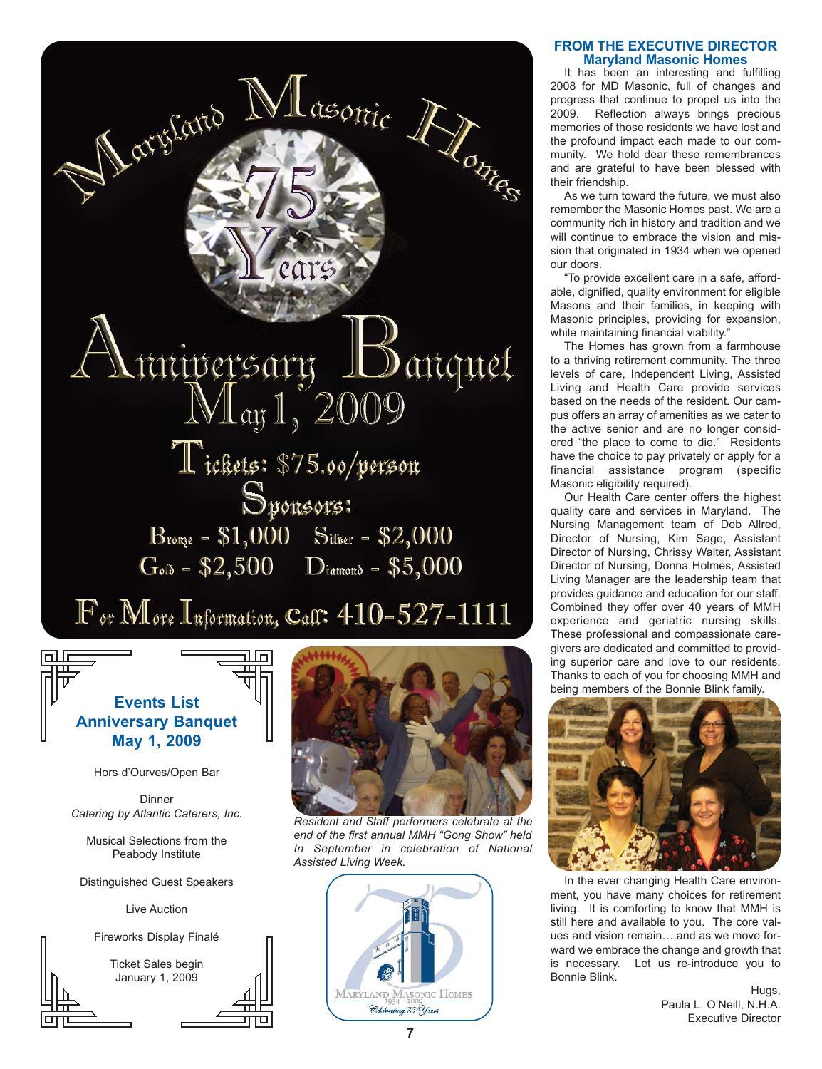

# **Events List Anniversary Banquet May 1, 2009**

Hors d'Ourves/Open Bar

Dinner *Catering by Atlantic Caterers, Inc.*

Musical Selections from the Peabody Institute

Distinguished Guest Speakers

Live Auction



Ticket Sales begin January 1, 2009



*Resident and Staff performers celebrate at the end of the first annual MMH "Gong Show" held In September in celebration of National Assisted Living Week.*



#### **FROM THE EXECUTIVE DIRECTOR Maryland Masonic Homes**

It has been an interesting and fulfilling 2008 for MD Masonic, full of changes and progress that continue to propel us into the 2009. Reflection always brings precious memories of those residents we have lost and the profound impact each made to our community. We hold dear these remembrances and are grateful to have been blessed with their friendship.

As we turn toward the future, we must also remember the Masonic Homes past. We are a community rich in history and tradition and we will continue to embrace the vision and mission that originated in 1934 when we opened our doors.

To provide excellent care in a safe, affordable, dignified, quality environment for eligible Masons and their families, in keeping with Masonic principles, providing for expansion, while maintaining financial viability."

The Homes has grown from a farmhouse to a thriving retirement community. The three levels of care, Independent Living, Assisted Living and Health Care provide services based on the needs of the resident. Our campus offers an array of amenities as we cater to the active senior and are no longer considered "the place to come to die." Residents have the choice to pay privately or apply for a financial assistance program (specific Masonic eligibility required).

Our Health Care center offers the highest quality care and services in Maryland. The Nursing Management team of Deb Allred, Director of Nursing, Kim Sage, Assistant Director of Nursing, Chrissy Walter, Assistant Director of Nursing, Donna Holmes, Assisted Living Manager are the leadership team that provides guidance and education for our staff. Combined they offer over 40 years of MMH experience and geriatric nursing skills. These professional and compassionate caregivers are dedicated and committed to providing superior care and love to our residents. Thanks to each of you for choosing MMH and being members of the Bonnie Blink family.



In the ever changing Health Care environment, you have many choices for retirement living. It is comforting to know that MMH is still here and available to you. The core values and vision remain….and as we move forward we embrace the change and growth that is necessary. Let us re-introduce you to Bonnie Blink.

> Hugs, Paula L. O'Neill, N.H.A. Executive Director